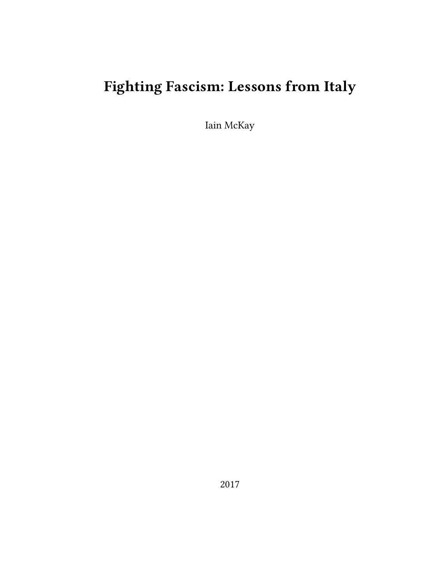# **Fighting Fascism: Lessons from Italy**

Iain McKay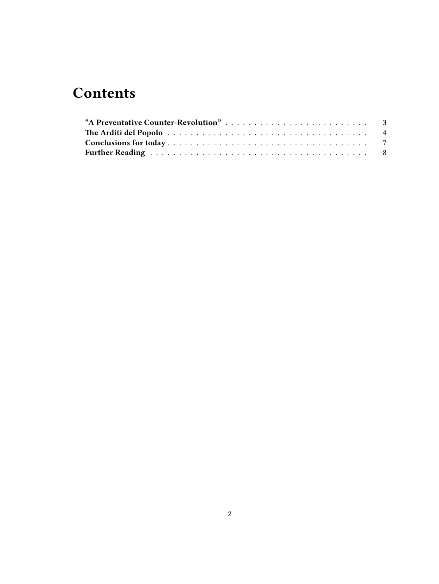## **Contents**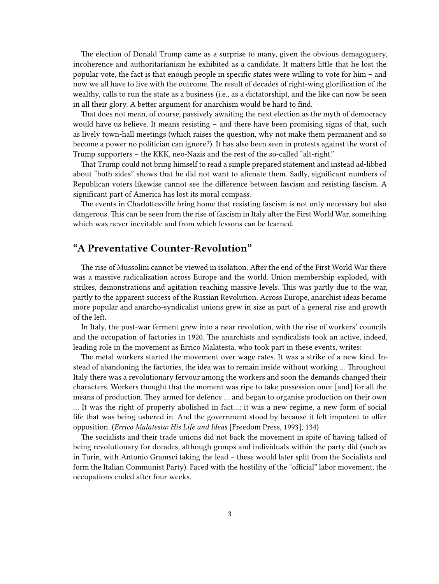The election of Donald Trump came as a surprise to many, given the obvious demagoguery, incoherence and authoritarianism he exhibited as a candidate. It matters little that he lost the popular vote, the fact is that enough people in specific states were willing to vote for him – and now we all have to live with the outcome. The result of decades of right-wing glorification of the wealthy, calls to run the state as a business (i.e., as a dictatorship), and the like can now be seen in all their glory. A better argument for anarchism would be hard to find.

That does not mean, of course, passively awaiting the next election as the myth of democracy would have us believe. It means resisting – and there have been promising signs of that, such as lively town-hall meetings (which raises the question, why not make them permanent and so become a power no politician can ignore?). It has also been seen in protests against the worst of Trump supporters – the KKK, neo-Nazis and the rest of the so-called "alt-right."

That Trump could not bring himself to read a simple prepared statement and instead ad-libbed about "both sides" shows that he did not want to alienate them. Sadly, significant numbers of Republican voters likewise cannot see the difference between fascism and resisting fascism. A significant part of America has lost its moral compass.

The events in Charlottesville bring home that resisting fascism is not only necessary but also dangerous. This can be seen from the rise of fascism in Italy after the First World War, something which was never inevitable and from which lessons can be learned.

### <span id="page-2-0"></span>**"A Preventative Counter-Revolution"**

The rise of Mussolini cannot be viewed in isolation. After the end of the First World War there was a massive radicalization across Europe and the world. Union membership exploded, with strikes, demonstrations and agitation reaching massive levels. This was partly due to the war, partly to the apparent success of the Russian Revolution. Across Europe, anarchist ideas became more popular and anarcho-syndicalist unions grew in size as part of a general rise and growth of the left.

In Italy, the post-war ferment grew into a near revolution, with the rise of workers' councils and the occupation of factories in 1920. The anarchists and syndicalists took an active, indeed, leading role in the movement as Errico Malatesta, who took part in these events, writes:

The metal workers started the movement over wage rates. It was a strike of a new kind. Instead of abandoning the factories, the idea was to remain inside without working … Throughout Italy there was a revolutionary fervour among the workers and soon the demands changed their characters. Workers thought that the moment was ripe to take possession once [and] for all the means of production. They armed for defence … and began to organise production on their own … It was the right of property abolished in fact…; it was a new regime, a new form of social life that was being ushered in. And the government stood by because it felt impotent to offer opposition. (*Errico Malatesta: His Life and Ideas* [Freedom Press, 1993], 134)

The socialists and their trade unions did not back the movement in spite of having talked of being revolutionary for decades, although groups and individuals within the party did (such as in Turin, with Antonio Gramsci taking the lead – these would later split from the Socialists and form the Italian Communist Party). Faced with the hostility of the "official" labor movement, the occupations ended after four weeks.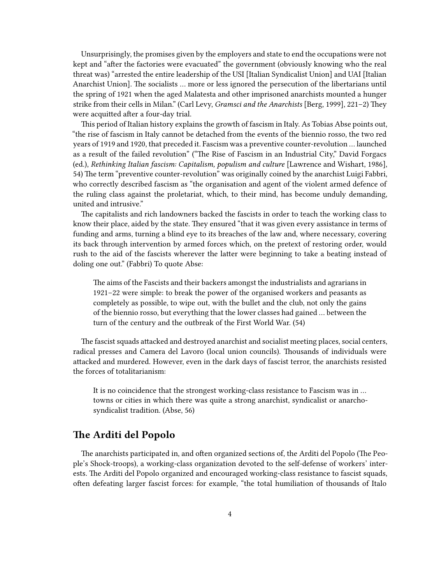Unsurprisingly, the promises given by the employers and state to end the occupations were not kept and "after the factories were evacuated" the government (obviously knowing who the real threat was) "arrested the entire leadership of the USI [Italian Syndicalist Union] and UAI [Italian Anarchist Union]. The socialists … more or less ignored the persecution of the libertarians until the spring of 1921 when the aged Malatesta and other imprisoned anarchists mounted a hunger strike from their cells in Milan." (Carl Levy, *Gramsci and the Anarchists* [Berg, 1999], 221–2) They were acquitted after a four-day trial.

This period of Italian history explains the growth of fascism in Italy. As Tobias Abse points out, "the rise of fascism in Italy cannot be detached from the events of the biennio rosso, the two red years of 1919 and 1920, that preceded it. Fascism was a preventive counter-revolution … launched as a result of the failed revolution" ("The Rise of Fascism in an Industrial City," David Forgacs (ed.), *Rethinking Italian fascism: Capitalism, populism and culture* [Lawrence and Wishart, 1986], 54) The term "preventive counter-revolution" was originally coined by the anarchist Luigi Fabbri, who correctly described fascism as "the organisation and agent of the violent armed defence of the ruling class against the proletariat, which, to their mind, has become unduly demanding, united and intrusive."

The capitalists and rich landowners backed the fascists in order to teach the working class to know their place, aided by the state. They ensured "that it was given every assistance in terms of funding and arms, turning a blind eye to its breaches of the law and, where necessary, covering its back through intervention by armed forces which, on the pretext of restoring order, would rush to the aid of the fascists wherever the latter were beginning to take a beating instead of doling one out." (Fabbri) To quote Abse:

The aims of the Fascists and their backers amongst the industrialists and agrarians in 1921–22 were simple: to break the power of the organised workers and peasants as completely as possible, to wipe out, with the bullet and the club, not only the gains of the biennio rosso, but everything that the lower classes had gained … between the turn of the century and the outbreak of the First World War. (54)

The fascist squads attacked and destroyed anarchist and socialist meeting places, social centers, radical presses and Camera del Lavoro (local union councils). Thousands of individuals were attacked and murdered. However, even in the dark days of fascist terror, the anarchists resisted the forces of totalitarianism:

It is no coincidence that the strongest working-class resistance to Fascism was in … towns or cities in which there was quite a strong anarchist, syndicalist or anarchosyndicalist tradition. (Abse, 56)

#### <span id="page-3-0"></span>**The Arditi del Popolo**

The anarchists participated in, and often organized sections of, the Arditi del Popolo (The People's Shock-troops), a working-class organization devoted to the self-defense of workers' interests. The Arditi del Popolo organized and encouraged working-class resistance to fascist squads, often defeating larger fascist forces: for example, "the total humiliation of thousands of Italo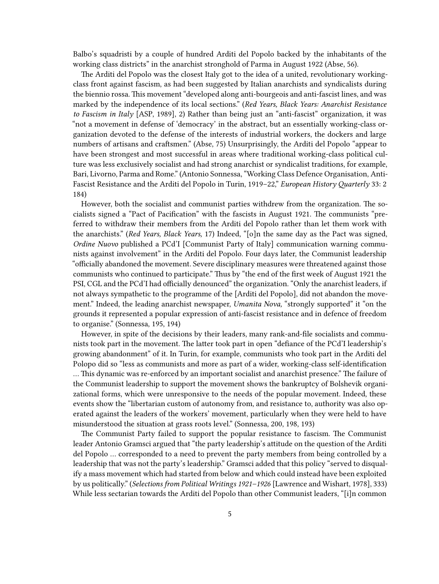Balbo's squadristi by a couple of hundred Arditi del Popolo backed by the inhabitants of the working class districts" in the anarchist stronghold of Parma in August 1922 (Abse, 56).

The Arditi del Popolo was the closest Italy got to the idea of a united, revolutionary workingclass front against fascism, as had been suggested by Italian anarchists and syndicalists during the biennio rossa. This movement "developed along anti-bourgeois and anti-fascist lines, and was marked by the independence of its local sections." (*Red Years, Black Years: Anarchist Resistance to Fascism in Italy* [ASP, 1989], 2) Rather than being just an "anti-fascist" organization, it was "not a movement in defense of 'democracy' in the abstract, but an essentially working-class organization devoted to the defense of the interests of industrial workers, the dockers and large numbers of artisans and craftsmen." (Abse, 75) Unsurprisingly, the Arditi del Popolo "appear to have been strongest and most successful in areas where traditional working-class political culture was less exclusively socialist and had strong anarchist or syndicalist traditions, for example, Bari, Livorno, Parma and Rome." (Antonio Sonnessa, "Working Class Defence Organisation, Anti-Fascist Resistance and the Arditi del Popolo in Turin, 1919–22," *European History Quarterly* 33: 2 184)

However, both the socialist and communist parties withdrew from the organization. The socialists signed a "Pact of Pacification" with the fascists in August 1921. The communists "preferred to withdraw their members from the Arditi del Popolo rather than let them work with the anarchists." (*Red Years, Black Years,* 17) Indeed, "[o]n the same day as the Pact was signed, *Ordine Nuovo* published a PCd'I [Communist Party of Italy] communication warning communists against involvement" in the Arditi del Popolo. Four days later, the Communist leadership "officially abandoned the movement. Severe disciplinary measures were threatened against those communists who continued to participate." Thus by "the end of the first week of August 1921 the PSI, CGL and the PCd'I had officially denounced" the organization. "Only the anarchist leaders, if not always sympathetic to the programme of the [Arditi del Popolo], did not abandon the movement." Indeed, the leading anarchist newspaper, *Umanita Nova,* "strongly supported" it "on the grounds it represented a popular expression of anti-fascist resistance and in defence of freedom to organise." (Sonnessa, 195, 194)

However, in spite of the decisions by their leaders, many rank-and-file socialists and communists took part in the movement. The latter took part in open "defiance of the PCd'I leadership's growing abandonment" of it. In Turin, for example, communists who took part in the Arditi del Polopo did so "less as communists and more as part of a wider, working-class self-identification … This dynamic was re-enforced by an important socialist and anarchist presence." The failure of the Communist leadership to support the movement shows the bankruptcy of Bolshevik organizational forms, which were unresponsive to the needs of the popular movement. Indeed, these events show the "libertarian custom of autonomy from, and resistance to, authority was also operated against the leaders of the workers' movement, particularly when they were held to have misunderstood the situation at grass roots level." (Sonnessa, 200, 198, 193)

The Communist Party failed to support the popular resistance to fascism. The Communist leader Antonio Gramsci argued that "the party leadership's attitude on the question of the Arditi del Popolo … corresponded to a need to prevent the party members from being controlled by a leadership that was not the party's leadership." Gramsci added that this policy "served to disqualify a mass movement which had started from below and which could instead have been exploited by us politically." (*Selections from Political Writings 1921–1926* [Lawrence and Wishart, 1978], 333) While less sectarian towards the Arditi del Popolo than other Communist leaders, "[i]n common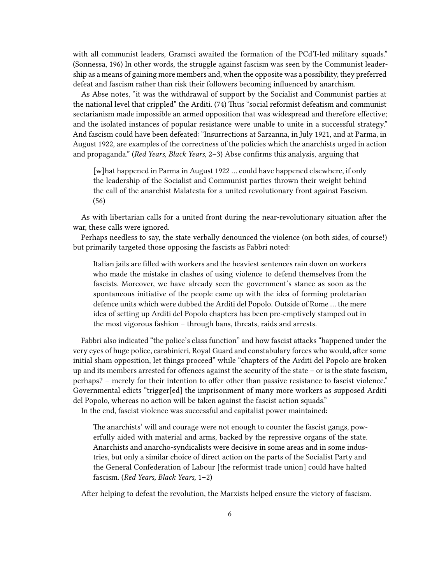with all communist leaders, Gramsci awaited the formation of the PCd'I-led military squads." (Sonnessa, 196) In other words, the struggle against fascism was seen by the Communist leadership as a means of gaining more members and, when the opposite was a possibility, they preferred defeat and fascism rather than risk their followers becoming influenced by anarchism.

As Abse notes, "it was the withdrawal of support by the Socialist and Communist parties at the national level that crippled" the Arditi. (74) Thus "social reformist defeatism and communist sectarianism made impossible an armed opposition that was widespread and therefore effective; and the isolated instances of popular resistance were unable to unite in a successful strategy." And fascism could have been defeated: "Insurrections at Sarzanna, in July 1921, and at Parma, in August 1922, are examples of the correctness of the policies which the anarchists urged in action and propaganda." (*Red Years, Black Years,* 2–3) Abse confirms this analysis, arguing that

[w]hat happened in Parma in August 1922 … could have happened elsewhere, if only the leadership of the Socialist and Communist parties thrown their weight behind the call of the anarchist Malatesta for a united revolutionary front against Fascism. (56)

As with libertarian calls for a united front during the near-revolutionary situation after the war, these calls were ignored.

Perhaps needless to say, the state verbally denounced the violence (on both sides, of course!) but primarily targeted those opposing the fascists as Fabbri noted:

Italian jails are filled with workers and the heaviest sentences rain down on workers who made the mistake in clashes of using violence to defend themselves from the fascists. Moreover, we have already seen the government's stance as soon as the spontaneous initiative of the people came up with the idea of forming proletarian defence units which were dubbed the Arditi del Popolo. Outside of Rome … the mere idea of setting up Arditi del Popolo chapters has been pre-emptively stamped out in the most vigorous fashion – through bans, threats, raids and arrests.

Fabbri also indicated "the police's class function" and how fascist attacks "happened under the very eyes of huge police, carabinieri, Royal Guard and constabulary forces who would, after some initial sham opposition, let things proceed" while "chapters of the Arditi del Popolo are broken up and its members arrested for offences against the security of the state – or is the state fascism, perhaps? – merely for their intention to offer other than passive resistance to fascist violence." Governmental edicts "trigger[ed] the imprisonment of many more workers as supposed Arditi del Popolo, whereas no action will be taken against the fascist action squads."

In the end, fascist violence was successful and capitalist power maintained:

The anarchists' will and courage were not enough to counter the fascist gangs, powerfully aided with material and arms, backed by the repressive organs of the state. Anarchists and anarcho-syndicalists were decisive in some areas and in some industries, but only a similar choice of direct action on the parts of the Socialist Party and the General Confederation of Labour [the reformist trade union] could have halted fascism. (*Red Years, Black Years,* 1–2)

After helping to defeat the revolution, the Marxists helped ensure the victory of fascism.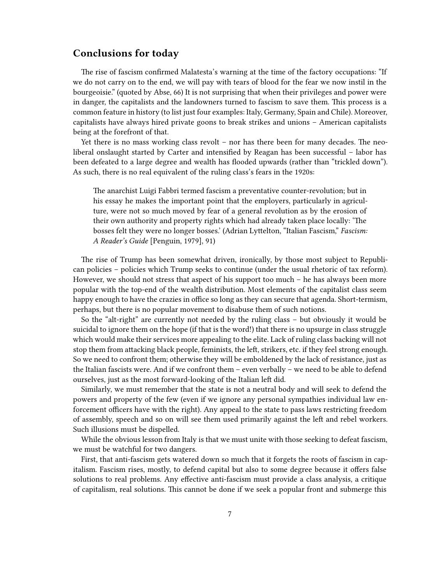#### <span id="page-6-0"></span>**Conclusions for today**

The rise of fascism confirmed Malatesta's warning at the time of the factory occupations: "If we do not carry on to the end, we will pay with tears of blood for the fear we now instil in the bourgeoisie." (quoted by Abse, 66) It is not surprising that when their privileges and power were in danger, the capitalists and the landowners turned to fascism to save them. This process is a common feature in history (to list just four examples: Italy, Germany, Spain and Chile). Moreover, capitalists have always hired private goons to break strikes and unions – American capitalists being at the forefront of that.

Yet there is no mass working class revolt – nor has there been for many decades. The neoliberal onslaught started by Carter and intensified by Reagan has been successful – labor has been defeated to a large degree and wealth has flooded upwards (rather than "trickled down"). As such, there is no real equivalent of the ruling class's fears in the 1920s:

The anarchist Luigi Fabbri termed fascism a preventative counter-revolution; but in his essay he makes the important point that the employers, particularly in agriculture, were not so much moved by fear of a general revolution as by the erosion of their own authority and property rights which had already taken place locally: 'The bosses felt they were no longer bosses.' (Adrian Lyttelton, "Italian Fascism," *Fascism: A Reader's Guide* [Penguin, 1979], 91)

The rise of Trump has been somewhat driven, ironically, by those most subject to Republican policies – policies which Trump seeks to continue (under the usual rhetoric of tax reform). However, we should not stress that aspect of his support too much – he has always been more popular with the top-end of the wealth distribution. Most elements of the capitalist class seem happy enough to have the crazies in office so long as they can secure that agenda. Short-termism, perhaps, but there is no popular movement to disabuse them of such notions.

So the "alt-right" are currently not needed by the ruling class – but obviously it would be suicidal to ignore them on the hope (if that is the word!) that there is no upsurge in class struggle which would make their services more appealing to the elite. Lack of ruling class backing will not stop them from attacking black people, feminists, the left, strikers, etc. if they feel strong enough. So we need to confront them; otherwise they will be emboldened by the lack of resistance, just as the Italian fascists were. And if we confront them – even verbally – we need to be able to defend ourselves, just as the most forward-looking of the Italian left did.

Similarly, we must remember that the state is not a neutral body and will seek to defend the powers and property of the few (even if we ignore any personal sympathies individual law enforcement officers have with the right). Any appeal to the state to pass laws restricting freedom of assembly, speech and so on will see them used primarily against the left and rebel workers. Such illusions must be dispelled.

While the obvious lesson from Italy is that we must unite with those seeking to defeat fascism, we must be watchful for two dangers.

First, that anti-fascism gets watered down so much that it forgets the roots of fascism in capitalism. Fascism rises, mostly, to defend capital but also to some degree because it offers false solutions to real problems. Any effective anti-fascism must provide a class analysis, a critique of capitalism, real solutions. This cannot be done if we seek a popular front and submerge this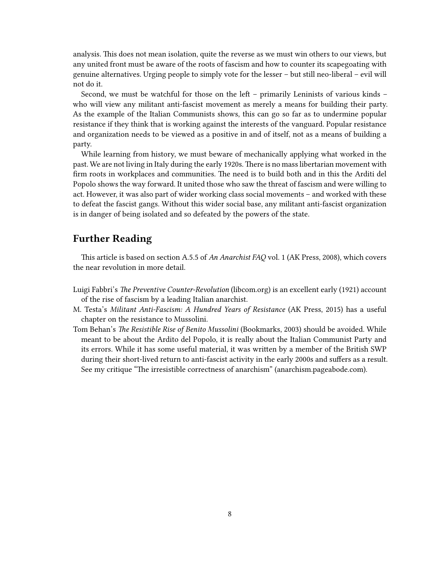analysis. This does not mean isolation, quite the reverse as we must win others to our views, but any united front must be aware of the roots of fascism and how to counter its scapegoating with genuine alternatives. Urging people to simply vote for the lesser – but still neo-liberal – evil will not do it.

Second, we must be watchful for those on the left – primarily Leninists of various kinds – who will view any militant anti-fascist movement as merely a means for building their party. As the example of the Italian Communists shows, this can go so far as to undermine popular resistance if they think that is working against the interests of the vanguard. Popular resistance and organization needs to be viewed as a positive in and of itself, not as a means of building a party.

While learning from history, we must beware of mechanically applying what worked in the past. We are not living in Italy during the early 1920s. There is no mass libertarian movement with firm roots in workplaces and communities. The need is to build both and in this the Arditi del Popolo shows the way forward. It united those who saw the threat of fascism and were willing to act. However, it was also part of wider working class social movements – and worked with these to defeat the fascist gangs. Without this wider social base, any militant anti-fascist organization is in danger of being isolated and so defeated by the powers of the state.

#### <span id="page-7-0"></span>**Further Reading**

This article is based on section A.5.5 of *An Anarchist FAQ* vol. 1 (AK Press, 2008), which covers the near revolution in more detail.

- Luigi Fabbri's *The Preventive Counter-Revolution* [\(libcom.org](https://libcom.org/library/preventative-counter-revolution-luigi-fabbri)) is an excellent early (1921) account of the rise of fascism by a leading Italian anarchist.
- M. Testa's *Militant Anti-Fascism: A Hundred Years of Resistance* (AK Press, 2015) has a useful chapter on the resistance to Mussolini.
- Tom Behan's *The Resistible Rise of Benito Mussolini* (Bookmarks, 2003) should be avoided. While meant to be about the Ardito del Popolo, it is really about the Italian Communist Party and its errors. While it has some useful material, it was written by a member of the British SWP during their short-lived return to anti-fascist activity in the early 2000s and suffers as a result. See my critique "The irresistible correctness of anarchism"([anarchism.pageabode.com\)](http://anarchism.pageabode.com/anarcho/the-irresistible-correctness-of-anarchism).